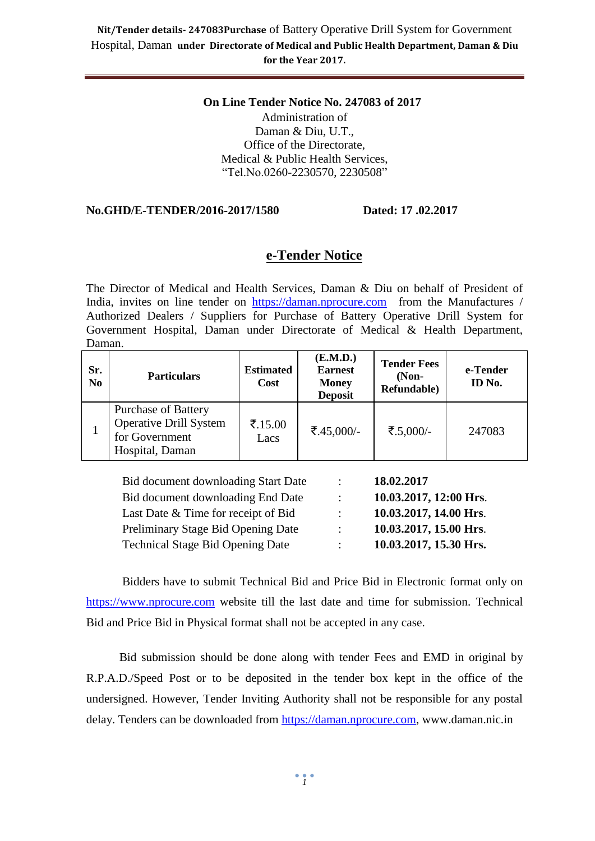#### **On Line Tender Notice No. 247083 of 2017** Administration of Daman & Diu, U.T., Office of the Directorate, Medical & Public Health Services, "Tel.No.0260-2230570, 2230508"

#### **No.GHD/E-TENDER/2016-2017/1580 Dated: 17 .02.2017**

#### **e-Tender Notice**

The Director of Medical and Health Services, Daman & Diu on behalf of President of India, invites on line tender on [https://daman.nprocure.com](https://daman.nprocure.com/) from the Manufactures / Authorized Dealers / Suppliers for Purchase of Battery Operative Drill System for Government Hospital, Daman under Directorate of Medical & Health Department, Daman.

| Sr.<br>N <sub>0</sub> | <b>Particulars</b>                                                                               | <b>Estimated</b><br><b>Cost</b> | (E.M.D.)<br><b>Earnest</b><br><b>Money</b><br><b>Deposit</b> | <b>Tender Fees</b><br>$(Non-$<br>Refundable) | e-Tender<br>ID No. |
|-----------------------|--------------------------------------------------------------------------------------------------|---------------------------------|--------------------------------------------------------------|----------------------------------------------|--------------------|
|                       | <b>Purchase of Battery</b><br><b>Operative Drill System</b><br>for Government<br>Hospital, Daman | ₹.15.00<br>Lacs                 | ₹.45,000/-                                                   | ₹.5,000/-                                    | 247083             |

| Bid document downloading Start Date     | $\ddot{\phantom{0}}$      | 18.02.2017             |
|-----------------------------------------|---------------------------|------------------------|
| Bid document downloading End Date       | $\mathbb{Z}^{\mathbb{Z}}$ | 10.03.2017, 12:00 Hrs. |
| Last Date & Time for receipt of Bid     | $\mathbb{R}^{\mathbb{Z}}$ | 10.03.2017, 14.00 Hrs. |
| Preliminary Stage Bid Opening Date      | $\mathbb{R}^n$            | 10.03.2017, 15.00 Hrs. |
| <b>Technical Stage Bid Opening Date</b> | $\ddot{\phantom{a}}$      | 10.03.2017, 15.30 Hrs. |

Bidders have to submit Technical Bid and Price Bid in Electronic format only on [https://www.nprocure.com](https://www.nprocure.com/) website till the last date and time for submission. Technical Bid and Price Bid in Physical format shall not be accepted in any case.

 Bid submission should be done along with tender Fees and EMD in original by R.P.A.D./Speed Post or to be deposited in the tender box kept in the office of the undersigned. However, Tender Inviting Authority shall not be responsible for any postal delay. Tenders can be downloaded from [https://daman.nprocure.com,](https://www.nprocure.com/) www.daman.nic.in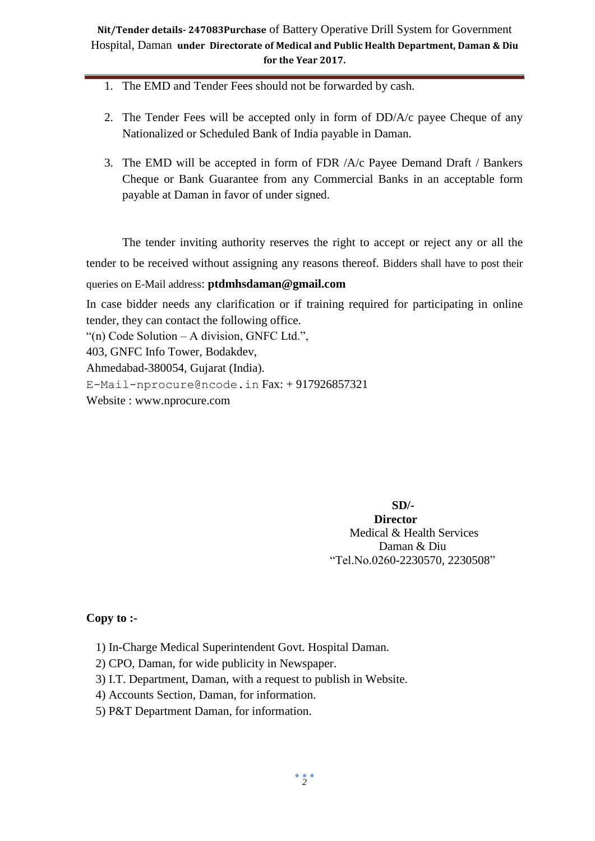- 1. The EMD and Tender Fees should not be forwarded by cash.
- 2. The Tender Fees will be accepted only in form of DD/A/c payee Cheque of any Nationalized or Scheduled Bank of India payable in Daman.
- 3. The EMD will be accepted in form of FDR /A/c Payee Demand Draft / Bankers Cheque or Bank Guarantee from any Commercial Banks in an acceptable form payable at Daman in favor of under signed.

The tender inviting authority reserves the right to accept or reject any or all the tender to be received without assigning any reasons thereof. Bidders shall have to post their queries on E-Mail address: **ptdmhsdaman@gmail.com**

In case bidder needs any clarification or if training required for participating in online tender, they can contact the following office.

"(n) Code Solution – A division, GNFC Ltd.",

403, GNFC Info Tower, Bodakdev,

Ahmedabad-380054, Gujarat (India).

[E-Mail-nprocure@ncode.in](mailto:E-Mail-nprocure@ncode.in) Fax: + 917926857321

Website : [www.nprocure.com](http://www.nprocure.com/)

 **SD/- Director** Medical & Health Services Daman & Diu "Tel.No.0260-2230570, 2230508"

#### **Copy to :-**

- 1) In-Charge Medical Superintendent Govt. Hospital Daman.
- 2) CPO, Daman, for wide publicity in Newspaper.
- 3) I.T. Department, Daman, with a request to publish in Website.
- 4) Accounts Section, Daman, for information.
- 5) P&T Department Daman, for information.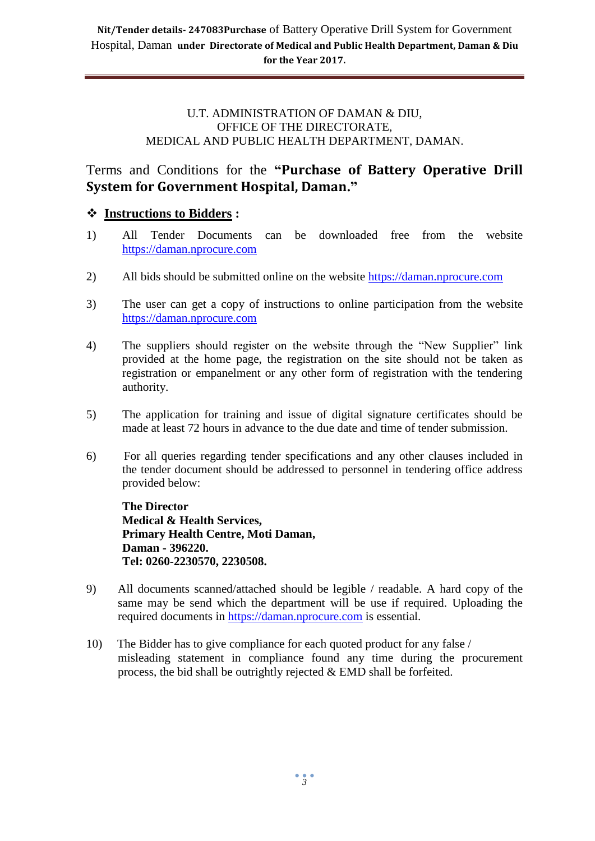#### U.T. ADMINISTRATION OF DAMAN & DIU, OFFICE OF THE DIRECTORATE, MEDICAL AND PUBLIC HEALTH DEPARTMENT, DAMAN.

# Terms and Conditions for the **"Purchase of Battery Operative Drill System for Government Hospital, Daman."**

# **Instructions to Bidders :**

- 1) All Tender Documents can be downloaded free from the website [https://daman.nprocure.com](https://www.nprocure.com/)
- 2) All bids should be submitted online on the website [https://daman.nprocure.com](https://www.nprocure.com/)
- 3) The user can get a copy of instructions to online participation from the website [https://daman.nprocure.com](https://www.nprocure.com/)
- 4) The suppliers should register on the website through the "New Supplier" link provided at the home page, the registration on the site should not be taken as registration or empanelment or any other form of registration with the tendering authority.
- 5) The application for training and issue of digital signature certificates should be made at least 72 hours in advance to the due date and time of tender submission.
- 6) For all queries regarding tender specifications and any other clauses included in the tender document should be addressed to personnel in tendering office address provided below:

**The Director Medical & Health Services, Primary Health Centre, Moti Daman, Daman - 396220. Tel: 0260-2230570, 2230508.**

- 9) All documents scanned/attached should be legible / readable. A hard copy of the same may be send which the department will be use if required. Uploading the required documents in [https://daman.nprocure.com](https://www.nprocure.com/) is essential.
- 10) The Bidder has to give compliance for each quoted product for any false / misleading statement in compliance found any time during the procurement process, the bid shall be outrightly rejected & EMD shall be forfeited.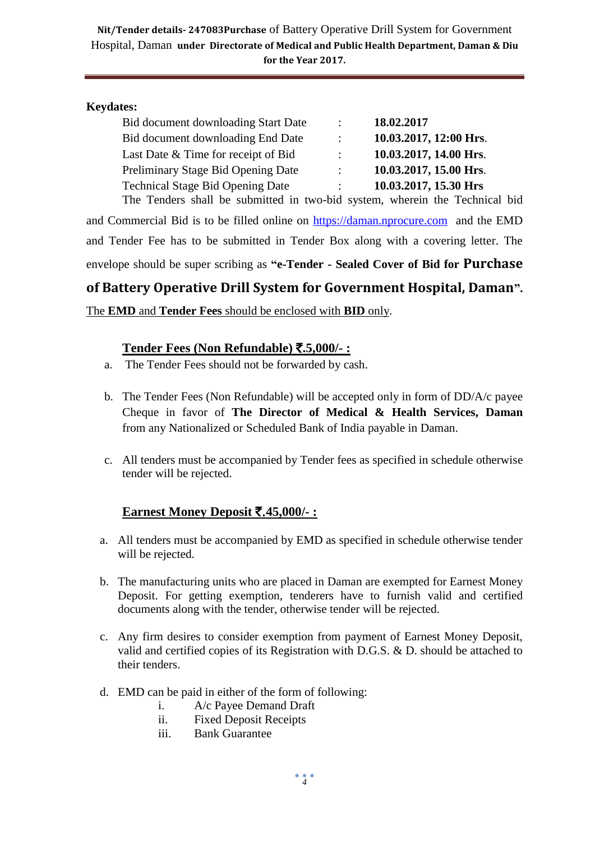#### **Keydates:**

|                           | 18.02.2017             |
|---------------------------|------------------------|
| $\mathbb{Z}^{\mathbb{Z}}$ | 10.03.2017, 12:00 Hrs. |
|                           | 10.03.2017, 14.00 Hrs. |
| $\mathbb{Z}^{\mathbb{Z}}$ | 10.03.2017, 15.00 Hrs. |
| $\mathbb{R}^{\mathbb{Z}}$ | 10.03.2017, 15.30 Hrs  |
|                           |                        |

The Tenders shall be submitted in two-bid system, wherein the Technical bid and Commercial Bid is to be filled online on [https://daman.nprocure.com](https://www.nprocure.com/) and the EMD and Tender Fee has to be submitted in Tender Box along with a covering letter. The envelope should be super scribing as **"e-Tender - Sealed Cover of Bid for Purchase** 

**of Battery Operative Drill System for Government Hospital, Daman".**

The **EMD** and **Tender Fees** should be enclosed with **BID** only.

#### **Tender Fees (Non Refundable)** `**.5,000/- :**

- a. The Tender Fees should not be forwarded by cash.
- b. The Tender Fees (Non Refundable) will be accepted only in form of DD/A/c payee Cheque in favor of **The Director of Medical & Health Services, Daman**  from any Nationalized or Scheduled Bank of India payable in Daman.
- c. All tenders must be accompanied by Tender fees as specified in schedule otherwise tender will be rejected.

# **Earnest Money Deposit** `.**45,000/- :**

- a. All tenders must be accompanied by EMD as specified in schedule otherwise tender will be rejected.
- b. The manufacturing units who are placed in Daman are exempted for Earnest Money Deposit. For getting exemption, tenderers have to furnish valid and certified documents along with the tender, otherwise tender will be rejected.
- c. Any firm desires to consider exemption from payment of Earnest Money Deposit, valid and certified copies of its Registration with D.G.S. & D. should be attached to their tenders.
- d. EMD can be paid in either of the form of following:
	- i. A/c Payee Demand Draft
	- ii. Fixed Deposit Receipts
	- iii. Bank Guarantee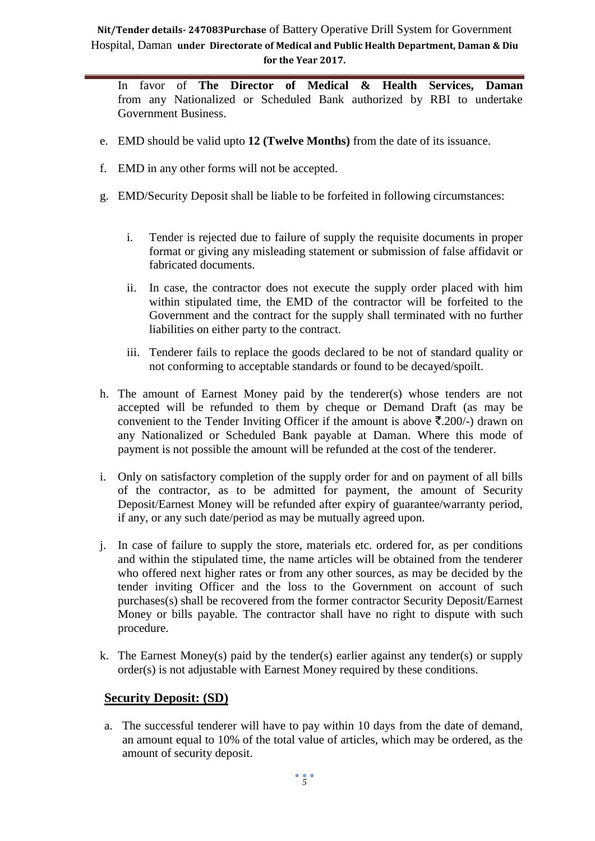In favor of **The Director of Medical & Health Services, Daman**  from any Nationalized or Scheduled Bank authorized by RBI to undertake Government Business.

- e. EMD should be valid upto **12 (Twelve Months)** from the date of its issuance.
- f. EMD in any other forms will not be accepted.
- g. EMD/Security Deposit shall be liable to be forfeited in following circumstances:
	- i. Tender is rejected due to failure of supply the requisite documents in proper format or giving any misleading statement or submission of false affidavit or fabricated documents.
	- ii. In case, the contractor does not execute the supply order placed with him within stipulated time, the EMD of the contractor will be forfeited to the Government and the contract for the supply shall terminated with no further liabilities on either party to the contract.
	- iii. Tenderer fails to replace the goods declared to be not of standard quality or not conforming to acceptable standards or found to be decayed/spoilt.
- h. The amount of Earnest Money paid by the tenderer(s) whose tenders are not accepted will be refunded to them by cheque or Demand Draft (as may be convenient to the Tender Inviting Officer if the amount is above  $\bar{\tau}$ . 200/-) drawn on any Nationalized or Scheduled Bank payable at Daman. Where this mode of payment is not possible the amount will be refunded at the cost of the tenderer.
- i. Only on satisfactory completion of the supply order for and on payment of all bills of the contractor, as to be admitted for payment, the amount of Security Deposit/Earnest Money will be refunded after expiry of guarantee/warranty period, if any, or any such date/period as may be mutually agreed upon.
- j. In case of failure to supply the store, materials etc. ordered for, as per conditions and within the stipulated time, the name articles will be obtained from the tenderer who offered next higher rates or from any other sources, as may be decided by the tender inviting Officer and the loss to the Government on account of such purchases(s) shall be recovered from the former contractor Security Deposit/Earnest Money or bills payable. The contractor shall have no right to dispute with such procedure.
- k. The Earnest Money(s) paid by the tender(s) earlier against any tender(s) or supply order(s) is not adjustable with Earnest Money required by these conditions.

#### **Security Deposit: (SD)**

a. The successful tenderer will have to pay within 10 days from the date of demand, an amount equal to 10% of the total value of articles, which may be ordered, as the amount of security deposit.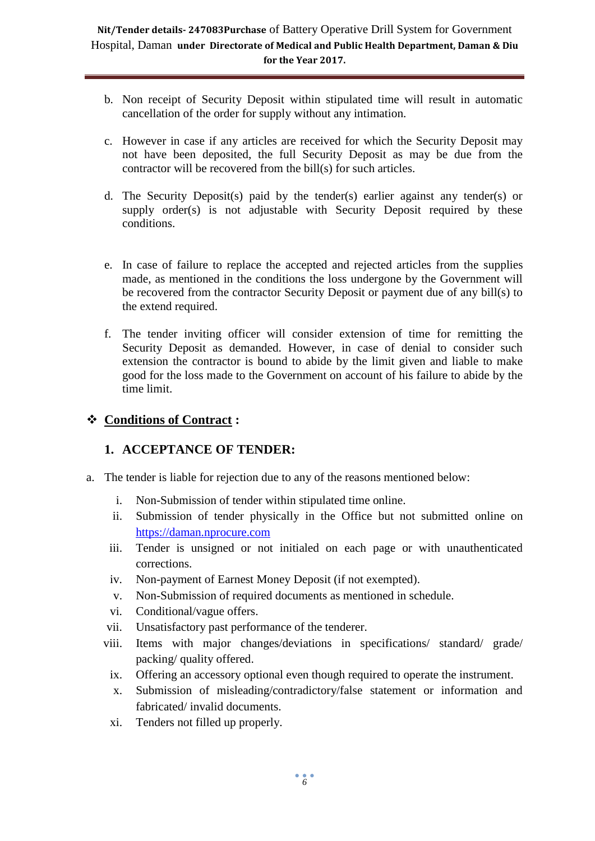- b. Non receipt of Security Deposit within stipulated time will result in automatic cancellation of the order for supply without any intimation.
- c. However in case if any articles are received for which the Security Deposit may not have been deposited, the full Security Deposit as may be due from the contractor will be recovered from the bill(s) for such articles.
- d. The Security Deposit(s) paid by the tender(s) earlier against any tender(s) or supply order(s) is not adjustable with Security Deposit required by these conditions.
- e. In case of failure to replace the accepted and rejected articles from the supplies made, as mentioned in the conditions the loss undergone by the Government will be recovered from the contractor Security Deposit or payment due of any bill(s) to the extend required.
- f. The tender inviting officer will consider extension of time for remitting the Security Deposit as demanded. However, in case of denial to consider such extension the contractor is bound to abide by the limit given and liable to make good for the loss made to the Government on account of his failure to abide by the time limit.

# **Conditions of Contract :**

# **1. ACCEPTANCE OF TENDER:**

- a. The tender is liable for rejection due to any of the reasons mentioned below:
	- i. Non-Submission of tender within stipulated time online.
	- ii. Submission of tender physically in the Office but not submitted online on [https://daman.nprocure.com](https://www.nprocure.com/)
	- iii. Tender is unsigned or not initialed on each page or with unauthenticated corrections.
	- iv. Non-payment of Earnest Money Deposit (if not exempted).
	- v. Non-Submission of required documents as mentioned in schedule.
	- vi. Conditional/vague offers.
	- vii. Unsatisfactory past performance of the tenderer.
	- viii. Items with major changes/deviations in specifications/ standard/ grade/ packing/ quality offered.
		- ix. Offering an accessory optional even though required to operate the instrument.
		- x. Submission of misleading/contradictory/false statement or information and fabricated/ invalid documents.
		- xi. Tenders not filled up properly.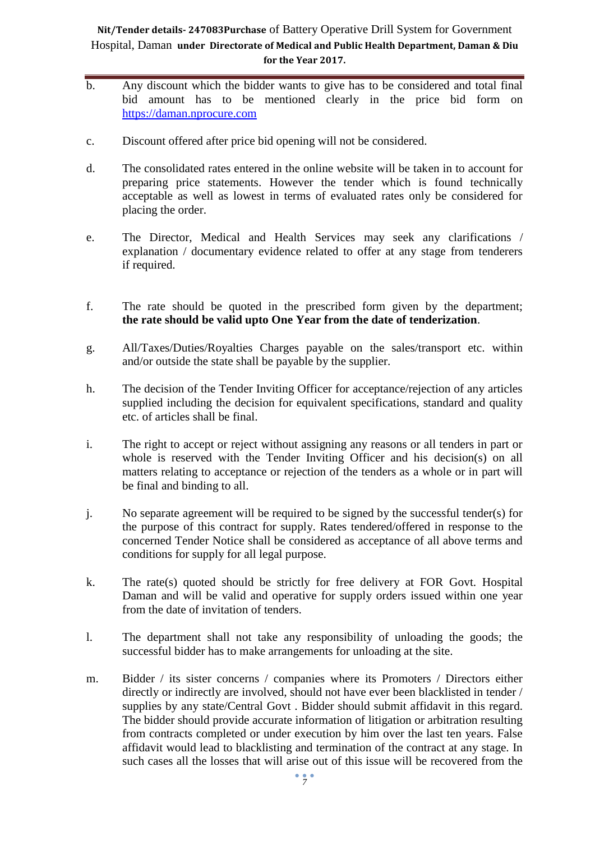- b. Any discount which the bidder wants to give has to be considered and total final bid amount has to be mentioned clearly in the price bid form on [https://daman.nprocure.com](https://www.nprocure.com/)
- c. Discount offered after price bid opening will not be considered.
- d. The consolidated rates entered in the online website will be taken in to account for preparing price statements. However the tender which is found technically acceptable as well as lowest in terms of evaluated rates only be considered for placing the order.
- e. The Director, Medical and Health Services may seek any clarifications / explanation / documentary evidence related to offer at any stage from tenderers if required.
- f. The rate should be quoted in the prescribed form given by the department; **the rate should be valid upto One Year from the date of tenderization**.
- g. All/Taxes/Duties/Royalties Charges payable on the sales/transport etc. within and/or outside the state shall be payable by the supplier.
- h. The decision of the Tender Inviting Officer for acceptance/rejection of any articles supplied including the decision for equivalent specifications, standard and quality etc. of articles shall be final.
- i. The right to accept or reject without assigning any reasons or all tenders in part or whole is reserved with the Tender Inviting Officer and his decision(s) on all matters relating to acceptance or rejection of the tenders as a whole or in part will be final and binding to all.
- j. No separate agreement will be required to be signed by the successful tender(s) for the purpose of this contract for supply. Rates tendered/offered in response to the concerned Tender Notice shall be considered as acceptance of all above terms and conditions for supply for all legal purpose.
- k. The rate(s) quoted should be strictly for free delivery at FOR Govt. Hospital Daman and will be valid and operative for supply orders issued within one year from the date of invitation of tenders.
- l. The department shall not take any responsibility of unloading the goods; the successful bidder has to make arrangements for unloading at the site.
- m. Bidder / its sister concerns / companies where its Promoters / Directors either directly or indirectly are involved, should not have ever been blacklisted in tender / supplies by any state/Central Govt . Bidder should submit affidavit in this regard. The bidder should provide accurate information of litigation or arbitration resulting from contracts completed or under execution by him over the last ten years. False affidavit would lead to blacklisting and termination of the contract at any stage. In such cases all the losses that will arise out of this issue will be recovered from the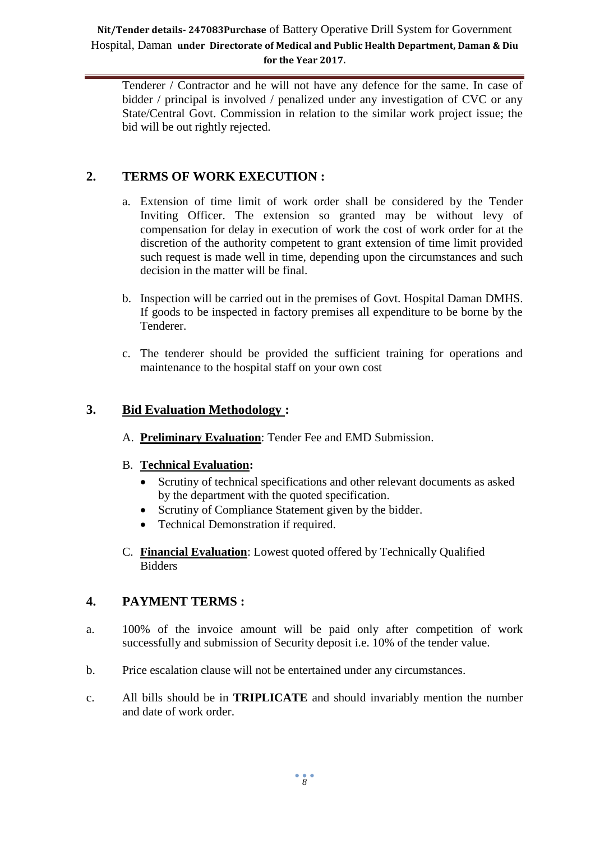Tenderer / Contractor and he will not have any defence for the same. In case of bidder / principal is involved / penalized under any investigation of CVC or any State/Central Govt. Commission in relation to the similar work project issue; the bid will be out rightly rejected.

# **2. TERMS OF WORK EXECUTION :**

- a. Extension of time limit of work order shall be considered by the Tender Inviting Officer. The extension so granted may be without levy of compensation for delay in execution of work the cost of work order for at the discretion of the authority competent to grant extension of time limit provided such request is made well in time, depending upon the circumstances and such decision in the matter will be final.
- b. Inspection will be carried out in the premises of Govt. Hospital Daman DMHS. If goods to be inspected in factory premises all expenditure to be borne by the Tenderer.
- c. The tenderer should be provided the sufficient training for operations and maintenance to the hospital staff on your own cost

#### **3. Bid Evaluation Methodology :**

A. **Preliminary Evaluation**: Tender Fee and EMD Submission.

#### B. **Technical Evaluation:**

- Scrutiny of technical specifications and other relevant documents as asked by the department with the quoted specification.
- Scrutiny of Compliance Statement given by the bidder.
- Technical Demonstration if required.
- C. **Financial Evaluation**: Lowest quoted offered by Technically Qualified Bidders

#### **4. PAYMENT TERMS :**

- a. 100% of the invoice amount will be paid only after competition of work successfully and submission of Security deposit i.e. 10% of the tender value.
- b. Price escalation clause will not be entertained under any circumstances.
- c. All bills should be in **TRIPLICATE** and should invariably mention the number and date of work order.

*8*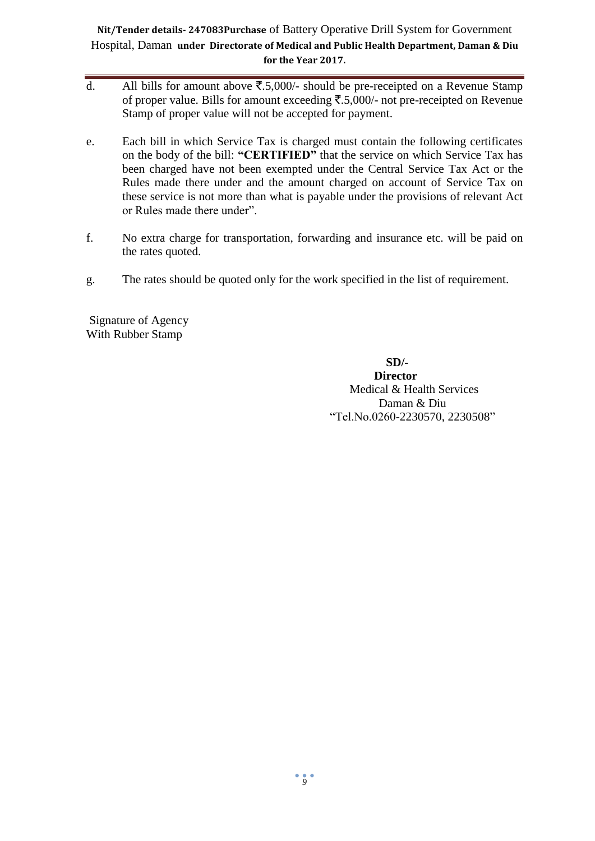- d. All bills for amount above  $\overline{\xi}$ .5,000/- should be pre-receipted on a Revenue Stamp of proper value. Bills for amount exceeding  $\overline{\xi}$ .5,000/- not pre-receipted on Revenue Stamp of proper value will not be accepted for payment.
- e. Each bill in which Service Tax is charged must contain the following certificates on the body of the bill: **"CERTIFIED"** that the service on which Service Tax has been charged have not been exempted under the Central Service Tax Act or the Rules made there under and the amount charged on account of Service Tax on these service is not more than what is payable under the provisions of relevant Act or Rules made there under".
- f. No extra charge for transportation, forwarding and insurance etc. will be paid on the rates quoted.
- g. The rates should be quoted only for the work specified in the list of requirement.

Signature of Agency With Rubber Stamp

> **SD/- Director** Medical & Health Services Daman & Diu "Tel.No.0260-2230570, 2230508"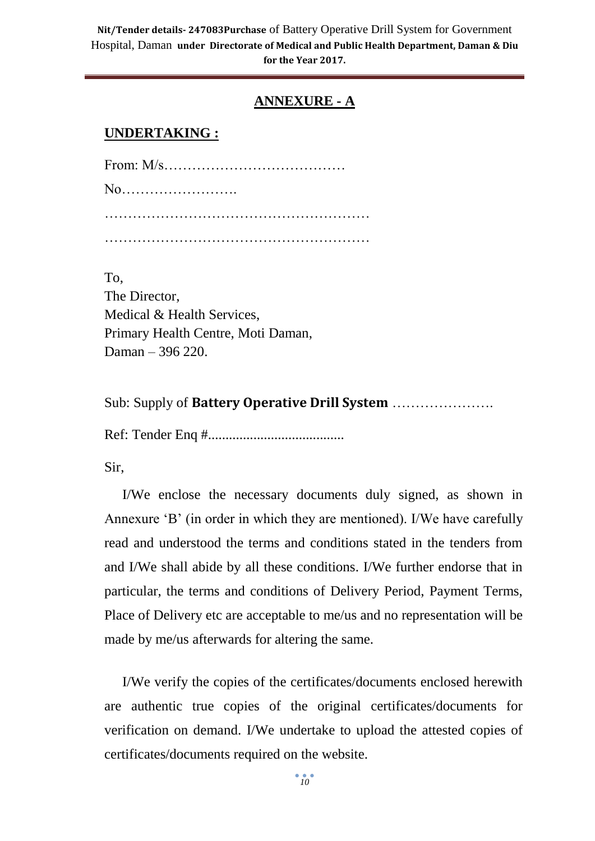# **ANNEXURE - A**

## **UNDERTAKING :**

To, The Director, Medical & Health Services, Primary Health Centre, Moti Daman, Daman – 396 220.

Sub: Supply of **Battery Operative Drill System** ………………….

Ref: Tender Enq #.......................................

Sir,

I/We enclose the necessary documents duly signed, as shown in Annexure 'B' (in order in which they are mentioned). I/We have carefully read and understood the terms and conditions stated in the tenders from and I/We shall abide by all these conditions. I/We further endorse that in particular, the terms and conditions of Delivery Period, Payment Terms, Place of Delivery etc are acceptable to me/us and no representation will be made by me/us afterwards for altering the same.

I/We verify the copies of the certificates/documents enclosed herewith are authentic true copies of the original certificates/documents for verification on demand. I/We undertake to upload the attested copies of certificates/documents required on the website.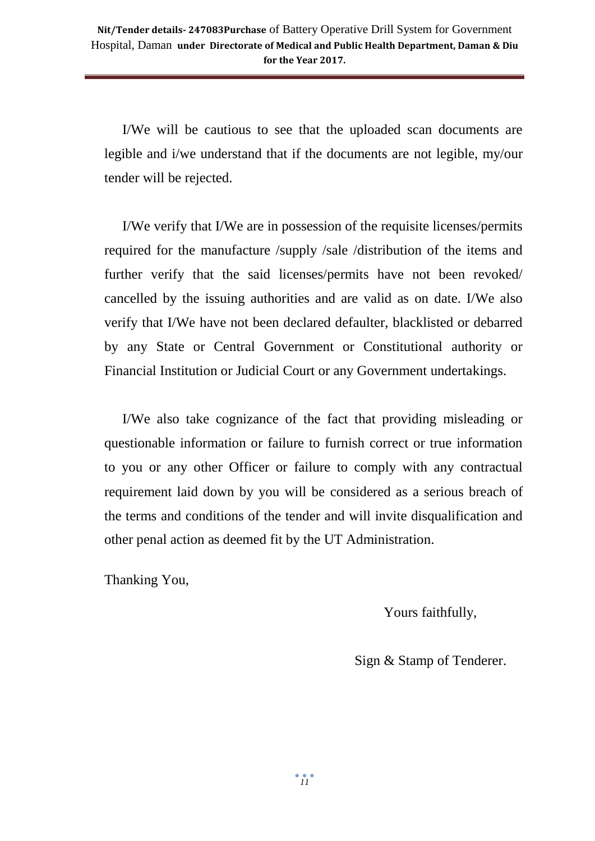I/We will be cautious to see that the uploaded scan documents are legible and i/we understand that if the documents are not legible, my/our tender will be rejected.

I/We verify that I/We are in possession of the requisite licenses/permits required for the manufacture /supply /sale /distribution of the items and further verify that the said licenses/permits have not been revoked/ cancelled by the issuing authorities and are valid as on date. I/We also verify that I/We have not been declared defaulter, blacklisted or debarred by any State or Central Government or Constitutional authority or Financial Institution or Judicial Court or any Government undertakings.

I/We also take cognizance of the fact that providing misleading or questionable information or failure to furnish correct or true information to you or any other Officer or failure to comply with any contractual requirement laid down by you will be considered as a serious breach of the terms and conditions of the tender and will invite disqualification and other penal action as deemed fit by the UT Administration.

Thanking You,

Yours faithfully,

Sign & Stamp of Tenderer.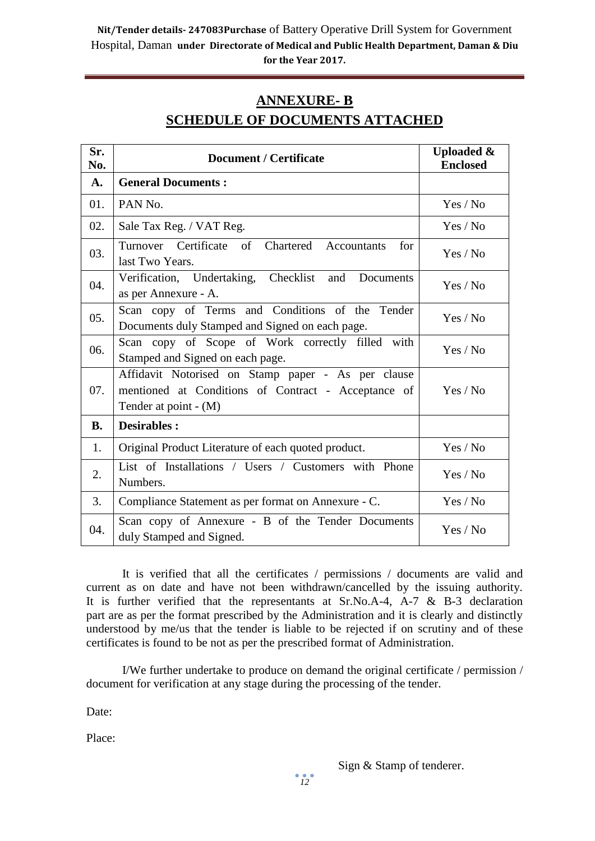# **ANNEXURE- B SCHEDULE OF DOCUMENTS ATTACHED**

| Sr.<br>No. | <b>Document / Certificate</b>                                                                                                      | <b>Uploaded &amp;</b><br><b>Enclosed</b> |
|------------|------------------------------------------------------------------------------------------------------------------------------------|------------------------------------------|
| A.         | <b>General Documents:</b>                                                                                                          |                                          |
| 01.        | PAN <sub>No.</sub>                                                                                                                 | Yes / No                                 |
| 02.        | Sale Tax Reg. / VAT Reg.                                                                                                           | Yes / No                                 |
| 03.        | Turnover Certificate of Chartered Accountants<br>for<br>last Two Years.                                                            | Yes / No                                 |
| 04.        | Verification, Undertaking, Checklist and Documents<br>as per Annexure - A.                                                         | Yes / No                                 |
| 05.        | Scan copy of Terms and Conditions of the Tender<br>Documents duly Stamped and Signed on each page.                                 | Yes / No                                 |
| 06.        | Scan copy of Scope of Work correctly filled with<br>Stamped and Signed on each page.                                               | Yes / No                                 |
| 07.        | Affidavit Notorised on Stamp paper - As per clause<br>mentioned at Conditions of Contract - Acceptance of<br>Tender at point - (M) | Yes / No                                 |
| <b>B.</b>  | <b>Desirables:</b>                                                                                                                 |                                          |
| 1.         | Original Product Literature of each quoted product.                                                                                | Yes / No                                 |
| 2.         | List of Installations / Users / Customers with Phone<br>Numbers.                                                                   | Yes / No                                 |
| 3.         | Compliance Statement as per format on Annexure - C.                                                                                | Yes / No                                 |
| 04.        | Scan copy of Annexure - B of the Tender Documents<br>duly Stamped and Signed.                                                      | Yes / No                                 |

It is verified that all the certificates / permissions / documents are valid and current as on date and have not been withdrawn/cancelled by the issuing authority. It is further verified that the representants at Sr.No.A-4, A-7 & B-3 declaration part are as per the format prescribed by the Administration and it is clearly and distinctly understood by me/us that the tender is liable to be rejected if on scrutiny and of these certificates is found to be not as per the prescribed format of Administration.

I/We further undertake to produce on demand the original certificate / permission / document for verification at any stage during the processing of the tender.

Date:

Place: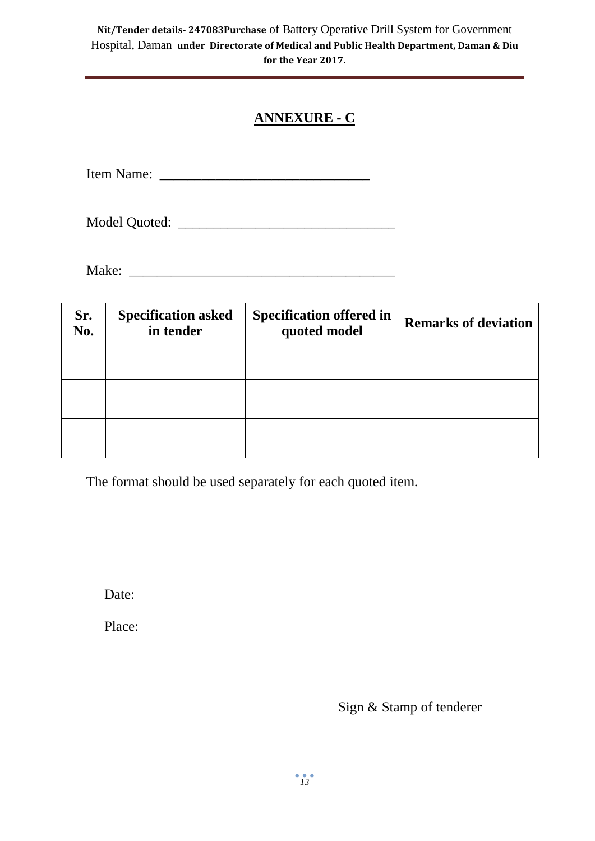# **ANNEXURE - C**

Item Name: \_\_\_\_\_\_\_\_\_\_\_\_\_\_\_\_\_\_\_\_\_\_\_\_\_\_\_\_\_\_

Model Quoted: \_\_\_\_\_\_\_\_\_\_\_\_\_\_\_\_\_\_\_\_\_\_\_\_\_\_\_\_\_\_\_

Make: \_\_\_\_\_\_\_\_\_\_\_\_\_\_\_\_\_\_\_\_\_\_\_\_\_\_\_\_\_\_\_\_\_\_\_\_\_\_

| Sr.<br>No. | <b>Specification asked</b><br>in tender | <b>Specification offered in</b><br>quoted model | <b>Remarks of deviation</b> |
|------------|-----------------------------------------|-------------------------------------------------|-----------------------------|
|            |                                         |                                                 |                             |
|            |                                         |                                                 |                             |
|            |                                         |                                                 |                             |

The format should be used separately for each quoted item.

Date:

Place:

Sign & Stamp of tenderer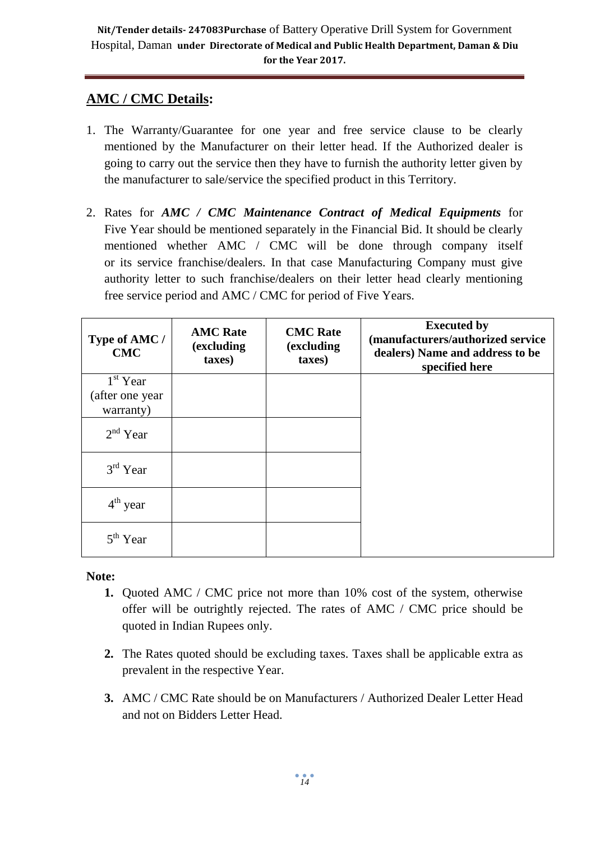# **AMC / CMC Details:**

- 1. The Warranty/Guarantee for one year and free service clause to be clearly mentioned by the Manufacturer on their letter head. If the Authorized dealer is going to carry out the service then they have to furnish the authority letter given by the manufacturer to sale/service the specified product in this Territory.
- 2. Rates for *AMC / CMC Maintenance Contract of Medical Equipments* for Five Year should be mentioned separately in the Financial Bid. It should be clearly mentioned whether AMC / CMC will be done through company itself or its service franchise/dealers. In that case Manufacturing Company must give authority letter to such franchise/dealers on their letter head clearly mentioning free service period and AMC / CMC for period of Five Years.

| Type of AMC /<br><b>CMC</b> | <b>AMC Rate</b><br>(excluding<br>taxes) | <b>CMC</b> Rate<br>(excluding<br>taxes) | <b>Executed by</b><br>(manufacturers/authorized service<br>dealers) Name and address to be<br>specified here |
|-----------------------------|-----------------------------------------|-----------------------------------------|--------------------------------------------------------------------------------------------------------------|
| $1st$ Year                  |                                         |                                         |                                                                                                              |
| (after one year             |                                         |                                         |                                                                                                              |
| warranty)                   |                                         |                                         |                                                                                                              |
| $2nd$ Year                  |                                         |                                         |                                                                                                              |
| $3rd$ Year                  |                                         |                                         |                                                                                                              |
| $4th$ year                  |                                         |                                         |                                                                                                              |
| 5 <sup>th</sup> Year        |                                         |                                         |                                                                                                              |

**Note:**

- **1.** Quoted AMC / CMC price not more than 10% cost of the system, otherwise offer will be outrightly rejected. The rates of AMC / CMC price should be quoted in Indian Rupees only.
- **2.** The Rates quoted should be excluding taxes. Taxes shall be applicable extra as prevalent in the respective Year.
- **3.** AMC / CMC Rate should be on Manufacturers / Authorized Dealer Letter Head and not on Bidders Letter Head.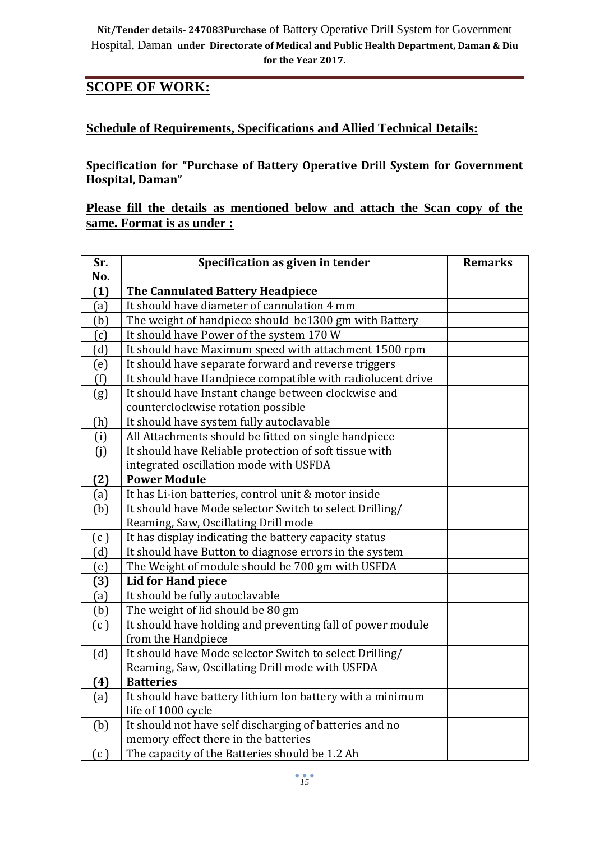# **SCOPE OF WORK:**

# **Schedule of Requirements, Specifications and Allied Technical Details:**

**Specification for "Purchase of Battery Operative Drill System for Government Hospital, Daman"**

**Please fill the details as mentioned below and attach the Scan copy of the same. Format is as under :**

| Sr. | Specification as given in tender                           | <b>Remarks</b> |
|-----|------------------------------------------------------------|----------------|
| No. |                                                            |                |
| (1) | The Cannulated Battery Headpiece                           |                |
| (a) | It should have diameter of cannulation 4 mm                |                |
| (b) | The weight of handpiece should be1300 gm with Battery      |                |
| (c) | It should have Power of the system 170 W                   |                |
| (d) | It should have Maximum speed with attachment 1500 rpm      |                |
| (e) | It should have separate forward and reverse triggers       |                |
| (f) | It should have Handpiece compatible with radiolucent drive |                |
| (g) | It should have Instant change between clockwise and        |                |
|     | counterclockwise rotation possible                         |                |
| (h) | It should have system fully autoclavable                   |                |
| (i) | All Attachments should be fitted on single handpiece       |                |
| (j) | It should have Reliable protection of soft tissue with     |                |
|     | integrated oscillation mode with USFDA                     |                |
| (2) | <b>Power Module</b>                                        |                |
| (a) | It has Li-ion batteries, control unit & motor inside       |                |
| (b) | It should have Mode selector Switch to select Drilling/    |                |
|     | Reaming, Saw, Oscillating Drill mode                       |                |
| (c) | It has display indicating the battery capacity status      |                |
| (d) | It should have Button to diagnose errors in the system     |                |
| (e) | The Weight of module should be 700 gm with USFDA           |                |
| (3) | <b>Lid for Hand piece</b>                                  |                |
| (a) | It should be fully autoclavable                            |                |
| (b) | The weight of lid should be 80 gm                          |                |
| (c) | It should have holding and preventing fall of power module |                |
|     | from the Handpiece                                         |                |
| (d) | It should have Mode selector Switch to select Drilling/    |                |
|     | Reaming, Saw, Oscillating Drill mode with USFDA            |                |
| (4) | <b>Batteries</b>                                           |                |
| (a) | It should have battery lithium lon battery with a minimum  |                |
|     | life of 1000 cycle                                         |                |
| (b) | It should not have self discharging of batteries and no    |                |
|     | memory effect there in the batteries                       |                |
| (c) | The capacity of the Batteries should be 1.2 Ah             |                |